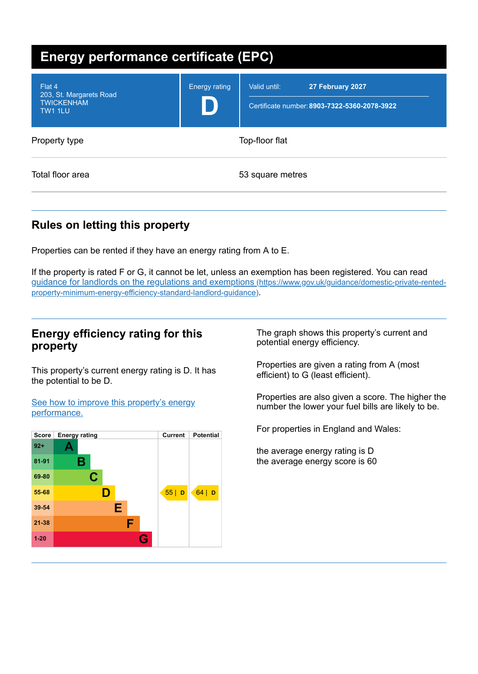| <b>Energy performance certificate (EPC)</b>                              |                      |                                                                                  |
|--------------------------------------------------------------------------|----------------------|----------------------------------------------------------------------------------|
| Flat 4<br>203, St. Margarets Road<br><b>TWICKENHAM</b><br><b>TW1 1LU</b> | <b>Energy rating</b> | Valid until:<br>27 February 2027<br>Certificate number: 8903-7322-5360-2078-3922 |
| Property type                                                            |                      | Top-floor flat                                                                   |
| Total floor area                                                         |                      | 53 square metres                                                                 |

# **Rules on letting this property**

Properties can be rented if they have an energy rating from A to E.

If the property is rated F or G, it cannot be let, unless an exemption has been registered. You can read guidance for landlords on the regulations and exemptions (https://www.gov.uk/guidance/domestic-private-rented[property-minimum-energy-efficiency-standard-landlord-guidance\)](https://www.gov.uk/guidance/domestic-private-rented-property-minimum-energy-efficiency-standard-landlord-guidance).

## **Energy efficiency rating for this property**

This property's current energy rating is D. It has the potential to be D.

See how to improve this property's energy [performance.](#page-2-0)



The graph shows this property's current and potential energy efficiency.

Properties are given a rating from A (most efficient) to G (least efficient).

Properties are also given a score. The higher the number the lower your fuel bills are likely to be.

For properties in England and Wales:

the average energy rating is D the average energy score is 60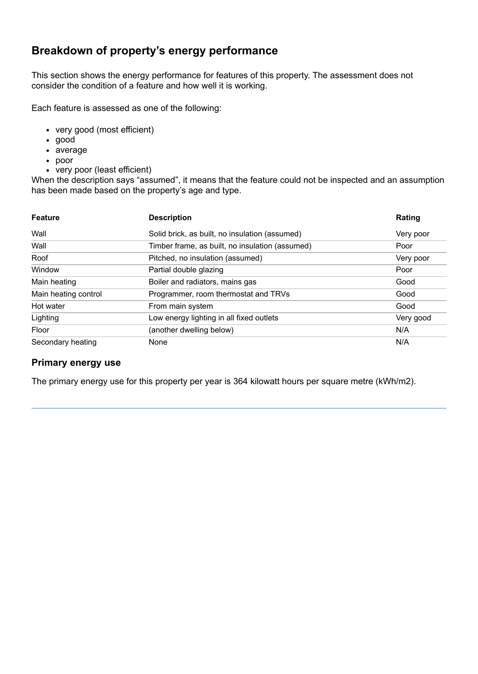# **Breakdown of property's energy performance**

This section shows the energy performance for features of this property. The assessment does not consider the condition of a feature and how well it is working.

Each feature is assessed as one of the following:

- very good (most efficient)
- good
- average
- poor
- very poor (least efficient)

When the description says "assumed", it means that the feature could not be inspected and an assumption has been made based on the property's age and type.

| <b>Feature</b>       | <b>Description</b>                              | Rating    |
|----------------------|-------------------------------------------------|-----------|
| Wall                 | Solid brick, as built, no insulation (assumed)  | Very poor |
| Wall                 | Timber frame, as built, no insulation (assumed) | Poor      |
| Roof                 | Pitched, no insulation (assumed)                | Very poor |
| Window               | Partial double glazing                          | Poor      |
| Main heating         | Boiler and radiators, mains gas                 | Good      |
| Main heating control | Programmer, room thermostat and TRVs            | Good      |
| Hot water            | From main system                                | Good      |
| Lighting             | Low energy lighting in all fixed outlets        | Very good |
| Floor                | (another dwelling below)                        | N/A       |
| Secondary heating    | None                                            | N/A       |

#### **Primary energy use**

The primary energy use for this property per year is 364 kilowatt hours per square metre (kWh/m2).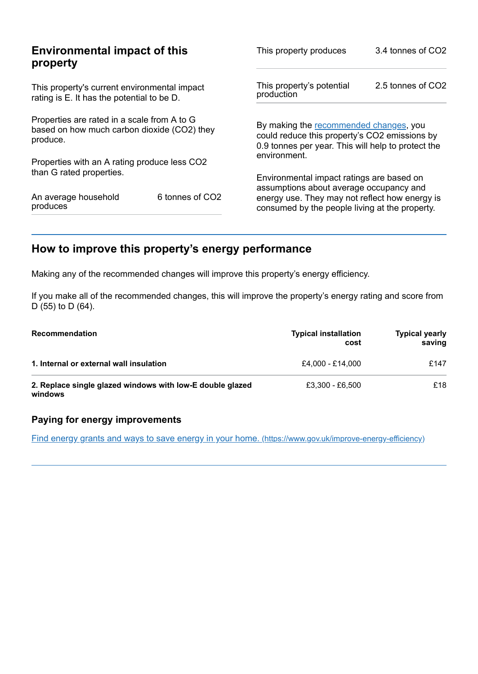|                                                                                                        | This property produces                                                                                                                                                            | 3.4 tonnes of CO2                                                                                                                             |  |
|--------------------------------------------------------------------------------------------------------|-----------------------------------------------------------------------------------------------------------------------------------------------------------------------------------|-----------------------------------------------------------------------------------------------------------------------------------------------|--|
|                                                                                                        | This property's potential<br>production                                                                                                                                           | 2.5 tonnes of CO2                                                                                                                             |  |
| Properties are rated in a scale from A to G<br>based on how much carbon dioxide (CO2) they<br>produce. |                                                                                                                                                                                   | By making the recommended changes, you<br>could reduce this property's CO2 emissions by<br>0.9 tonnes per year. This will help to protect the |  |
|                                                                                                        |                                                                                                                                                                                   |                                                                                                                                               |  |
|                                                                                                        | Environmental impact ratings are based on                                                                                                                                         |                                                                                                                                               |  |
| 6 tonnes of CO <sub>2</sub>                                                                            | energy use. They may not reflect how energy is<br>consumed by the people living at the property.                                                                                  |                                                                                                                                               |  |
|                                                                                                        | <b>Environmental impact of this</b><br>This property's current environmental impact<br>rating is E. It has the potential to be D.<br>Properties with an A rating produce less CO2 | environment.<br>assumptions about average occupancy and                                                                                       |  |

# <span id="page-2-0"></span>**How to improve this property's energy performance**

Making any of the recommended changes will improve this property's energy efficiency.

If you make all of the recommended changes, this will improve the property's energy rating and score from D (55) to D (64).

| <b>Recommendation</b>                                                | <b>Typical installation</b><br>cost | <b>Typical yearly</b><br>saving |
|----------------------------------------------------------------------|-------------------------------------|---------------------------------|
| 1. Internal or external wall insulation                              | £4.000 - £14.000                    | £147                            |
| 2. Replace single glazed windows with low-E double glazed<br>windows | £3,300 - £6,500                     | £18                             |

#### **Paying for energy improvements**

Find energy grants and ways to save energy in your home. [\(https://www.gov.uk/improve-energy-efficiency\)](https://www.gov.uk/improve-energy-efficiency)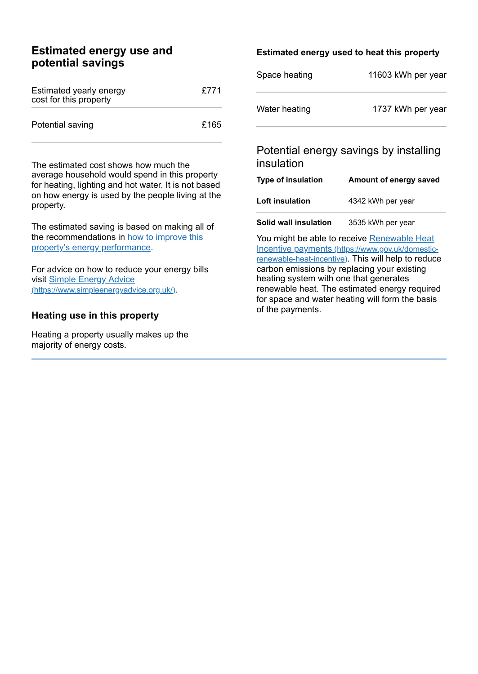## **Estimated energy use and potential savings**

| Estimated yearly energy<br>cost for this property | £771 |
|---------------------------------------------------|------|
| Potential saving                                  | £165 |

The estimated cost shows how much the average household would spend in this property for heating, lighting and hot water. It is not based on how energy is used by the people living at the property.

The estimated saving is based on making all of the [recommendations](#page-2-0) in how to improve this property's energy performance.

For advice on how to reduce your energy bills visit Simple Energy Advice [\(https://www.simpleenergyadvice.org.uk/\)](https://www.simpleenergyadvice.org.uk/).

#### **Heating use in this property**

Heating a property usually makes up the majority of energy costs.

#### **Estimated energy used to heat this property**

| Space heating | 11603 kWh per year |
|---------------|--------------------|
| Water heating | 1737 kWh per year  |

## Potential energy savings by installing insulation

| Type of insulation     | Amount of energy saved |
|------------------------|------------------------|
| <b>Loft insulation</b> | 4342 kWh per year      |
|                        |                        |

**Solid wall insulation** 3535 kWh per year

You might be able to receive Renewable Heat Incentive payments [\(https://www.gov.uk/domestic](https://www.gov.uk/domestic-renewable-heat-incentive)renewable-heat-incentive). This will help to reduce carbon emissions by replacing your existing heating system with one that generates renewable heat. The estimated energy required for space and water heating will form the basis of the payments.